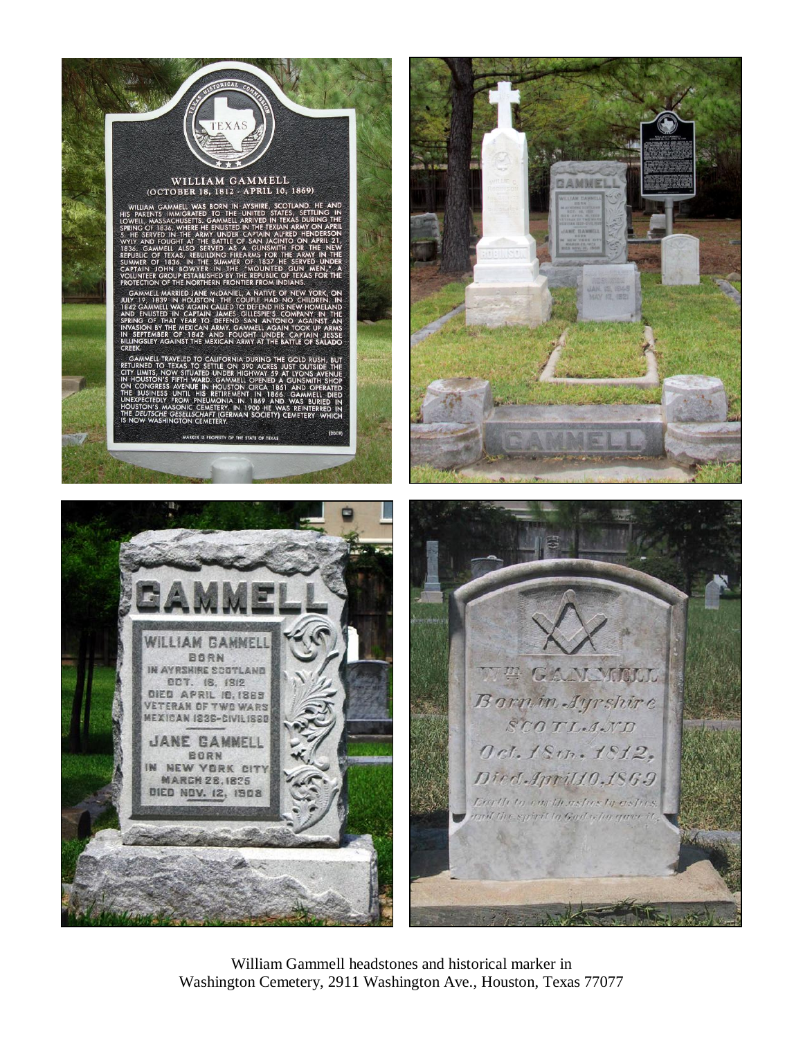

William Gammell headstones and historical marker in Washington Cemetery, 2911 Washington Ave., Houston, Texas 77077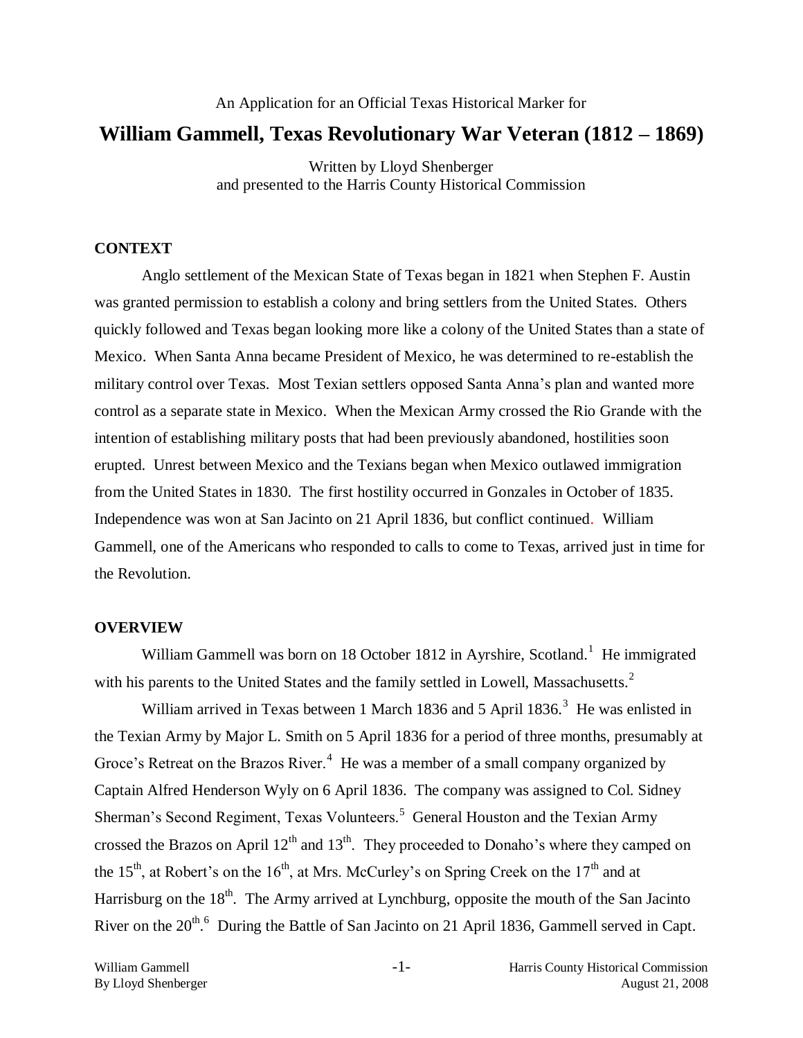# An Application for an Official Texas Historical Marker for **William Gammell, Texas Revolutionary War Veteran (1812 – 1869)**

Written by Lloyd Shenberger and presented to the Harris County Historical Commission

# **CONTEXT**

Anglo settlement of the Mexican State of Texas began in 1821 when Stephen F. Austin was granted permission to establish a colony and bring settlers from the United States. Others quickly followed and Texas began looking more like a colony of the United States than a state of Mexico. When Santa Anna became President of Mexico, he was determined to re-establish the military control over Texas. Most Texian settlers opposed Santa Anna's plan and wanted more control as a separate state in Mexico. When the Mexican Army crossed the Rio Grande with the intention of establishing military posts that had been previously abandoned, hostilities soon erupted. Unrest between Mexico and the Texians began when Mexico outlawed immigration from the United States in 1830. The first hostility occurred in Gonzales in October of 1835. Independence was won at San Jacinto on 21 April 1836, but conflict continued. William Gammell, one of the Americans who responded to calls to come to Texas, arrived just in time for the Revolution.

### **OVERVIEW**

William Gammell was born on 18 October 1812 in Ayrshire, Scotland.<sup>1</sup> He immigrated with his parents to the United States and the family settled in Lowell, Massachusetts. $2$ 

William arrived in Texas between 1 March 1836 and 5 April 1836.<sup>3</sup> He was enlisted in the Texian Army by Major L. Smith on 5 April 1836 for a period of three months, presumably at Groce's Retreat on the Brazos River. $4$  He was a member of a small company organized by Captain Alfred Henderson Wyly on 6 April 1836. The company was assigned to Col. Sidney Sherman's Second Regiment, Texas Volunteers.<sup>5</sup> General Houston and the Texian Army crossed the Brazos on April  $12<sup>th</sup>$  and  $13<sup>th</sup>$ . They proceeded to Donaho's where they camped on the 15<sup>th</sup>, at Robert's on the 16<sup>th</sup>, at Mrs. McCurley's on Spring Creek on the 17<sup>th</sup> and at Harrisburg on the  $18<sup>th</sup>$ . The Army arrived at Lynchburg, opposite the mouth of the San Jacinto River on the  $20^{th}$ .<sup>6</sup> During the Battle of San Jacinto on 21 April 1836, Gammell served in Capt.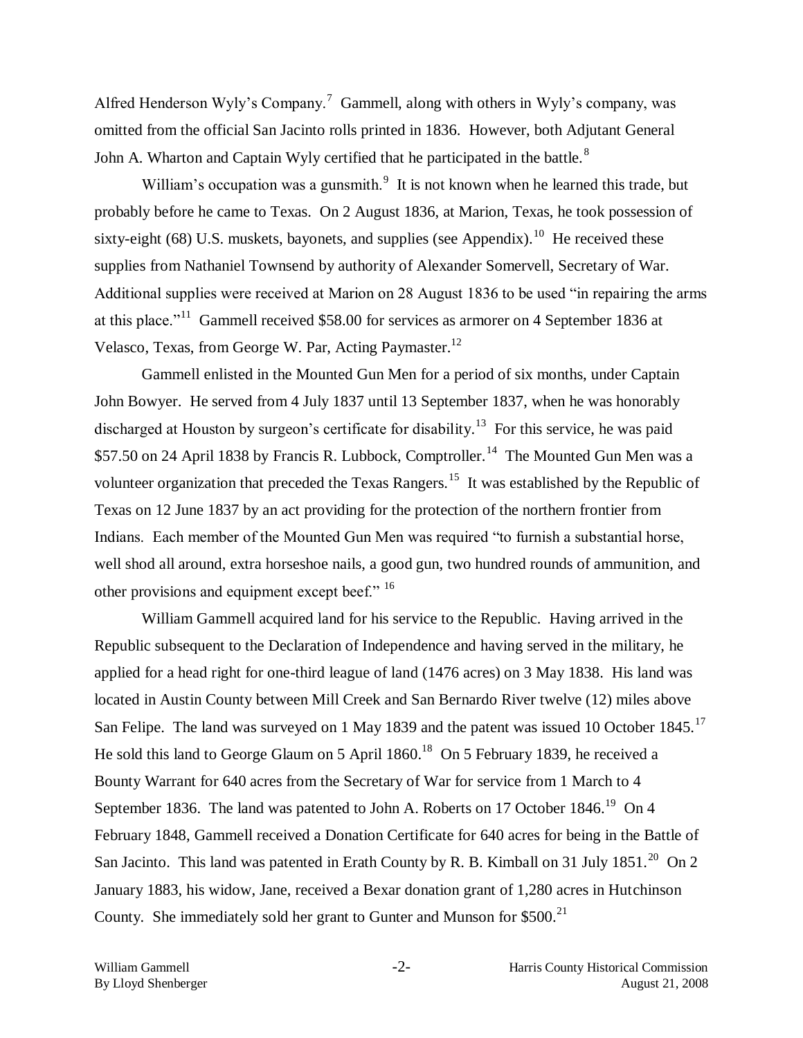Alfred Henderson Wyly's Company.<sup>7</sup> Gammell, along with others in Wyly's company, was omitted from the official San Jacinto rolls printed in 1836. However, both Adjutant General John A. Wharton and Captain Wyly certified that he participated in the battle. $8$ 

William's occupation was a gunsmith. $9\,$  It is not known when he learned this trade, but probably before he came to Texas. On 2 August 1836, at Marion, Texas, he took possession of sixty-eight (68) U.S. muskets, bayonets, and supplies (see Appendix).<sup>10</sup> He received these supplies from Nathaniel Townsend by authority of Alexander Somervell, Secretary of War. Additional supplies were received at Marion on 28 August 1836 to be used "in repairing the arms at this place."<sup>11</sup> Gammell received \$58.00 for services as armorer on 4 September 1836 at Velasco, Texas, from George W. Par, Acting Paymaster.<sup>12</sup>

Gammell enlisted in the Mounted Gun Men for a period of six months, under Captain John Bowyer. He served from 4 July 1837 until 13 September 1837, when he was honorably discharged at Houston by surgeon's certificate for disability.<sup>13</sup> For this service, he was paid \$57.50 on 24 April 1838 by Francis R. Lubbock, Comptroller.<sup>14</sup> The Mounted Gun Men was a volunteer organization that preceded the Texas Rangers.<sup>15</sup> It was established by the Republic of Texas on 12 June 1837 by an act providing for the protection of the northern frontier from Indians. Each member of the Mounted Gun Men was required "to furnish a substantial horse, well shod all around, extra horseshoe nails, a good gun, two hundred rounds of ammunition, and other provisions and equipment except beef." <sup>16</sup>

William Gammell acquired land for his service to the Republic. Having arrived in the Republic subsequent to the Declaration of Independence and having served in the military, he applied for a head right for one-third league of land (1476 acres) on 3 May 1838. His land was located in Austin County between Mill Creek and San Bernardo River twelve (12) miles above San Felipe. The land was surveyed on 1 May 1839 and the patent was issued 10 October 1845.<sup>17</sup> He sold this land to George Glaum on 5 April  $1860.^{18}$  On 5 February 1839, he received a Bounty Warrant for 640 acres from the Secretary of War for service from 1 March to 4 September 1836. The land was patented to John A. Roberts on 17 October 1846.<sup>19</sup> On 4 February 1848, Gammell received a Donation Certificate for 640 acres for being in the Battle of San Jacinto. This land was patented in Erath County by R. B. Kimball on 31 July 1851.<sup>20</sup> On 2 January 1883, his widow, Jane, received a Bexar donation grant of 1,280 acres in Hutchinson County. She immediately sold her grant to Gunter and Munson for  $$500.<sup>21</sup>$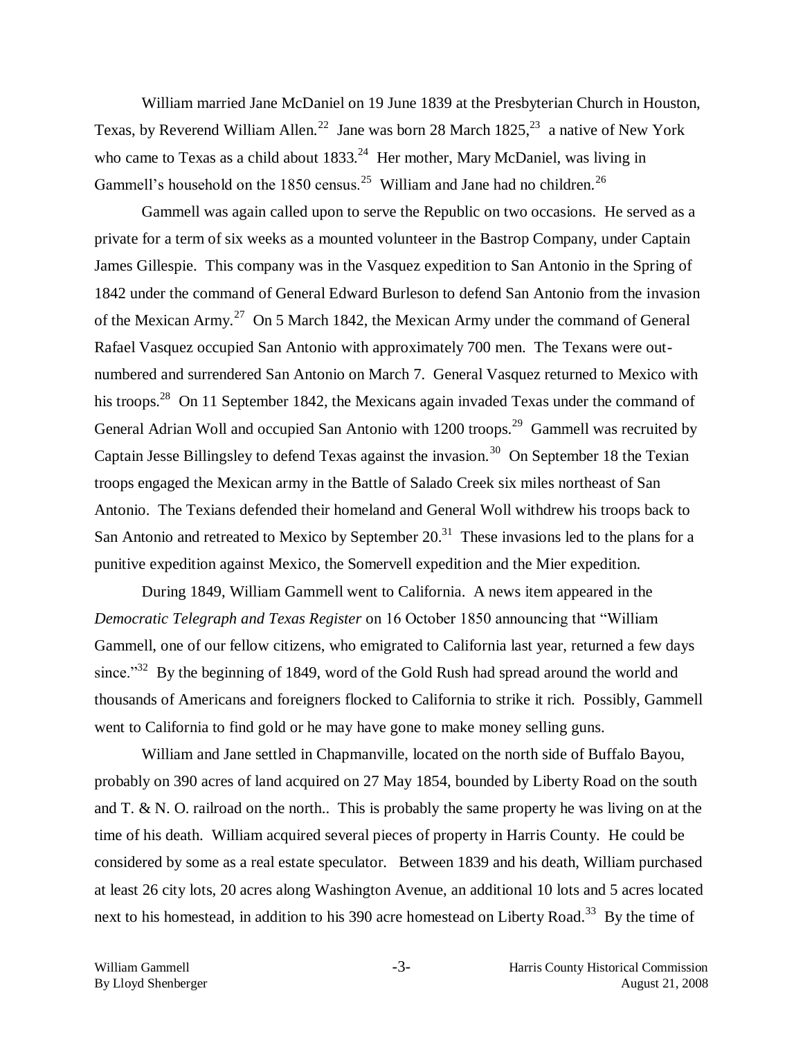William married Jane McDaniel on 19 June 1839 at the Presbyterian Church in Houston, Texas, by Reverend William Allen.<sup>22</sup> Jane was born 28 March  $1825$ ,<sup>23</sup> a native of New York who came to Texas as a child about  $1833<sup>24</sup>$  Her mother, Mary McDaniel, was living in Gammell's household on the 1850 census.<sup>25</sup> William and Jane had no children.<sup>26</sup>

Gammell was again called upon to serve the Republic on two occasions. He served as a private for a term of six weeks as a mounted volunteer in the Bastrop Company, under Captain James Gillespie. This company was in the Vasquez expedition to San Antonio in the Spring of 1842 under the command of General Edward Burleson to defend San Antonio from the invasion of the Mexican Army.<sup>27</sup> On 5 March 1842, the Mexican Army under the command of General Rafael Vasquez occupied San Antonio with approximately 700 men. The Texans were outnumbered and surrendered San Antonio on March 7. General Vasquez returned to Mexico with his troops.<sup>28</sup> On 11 September 1842, the Mexicans again invaded Texas under the command of General Adrian Woll and occupied San Antonio with  $1200$  troops.<sup>29</sup> Gammell was recruited by Captain Jesse Billingsley to defend Texas against the invasion.<sup>30</sup> On September 18 the Texian troops engaged the Mexican army in the Battle of Salado Creek six miles northeast of San Antonio. The Texians defended their homeland and General Woll withdrew his troops back to San Antonio and retreated to Mexico by September  $20<sup>31</sup>$  These invasions led to the plans for a punitive expedition against Mexico, the Somervell expedition and the Mier expedition.

During 1849, William Gammell went to California. A news item appeared in the *Democratic Telegraph and Texas Register* on 16 October 1850 announcing that "William Gammell, one of our fellow citizens, who emigrated to California last year, returned a few days since."<sup>32</sup> By the beginning of 1849, word of the Gold Rush had spread around the world and thousands of Americans and foreigners flocked to California to strike it rich. Possibly, Gammell went to California to find gold or he may have gone to make money selling guns.

William and Jane settled in Chapmanville, located on the north side of Buffalo Bayou, probably on 390 acres of land acquired on 27 May 1854, bounded by Liberty Road on the south and T. & N. O. railroad on the north.. This is probably the same property he was living on at the time of his death. William acquired several pieces of property in Harris County. He could be considered by some as a real estate speculator. Between 1839 and his death, William purchased at least 26 city lots, 20 acres along Washington Avenue, an additional 10 lots and 5 acres located next to his homestead, in addition to his 390 acre homestead on Liberty Road.<sup>33</sup> By the time of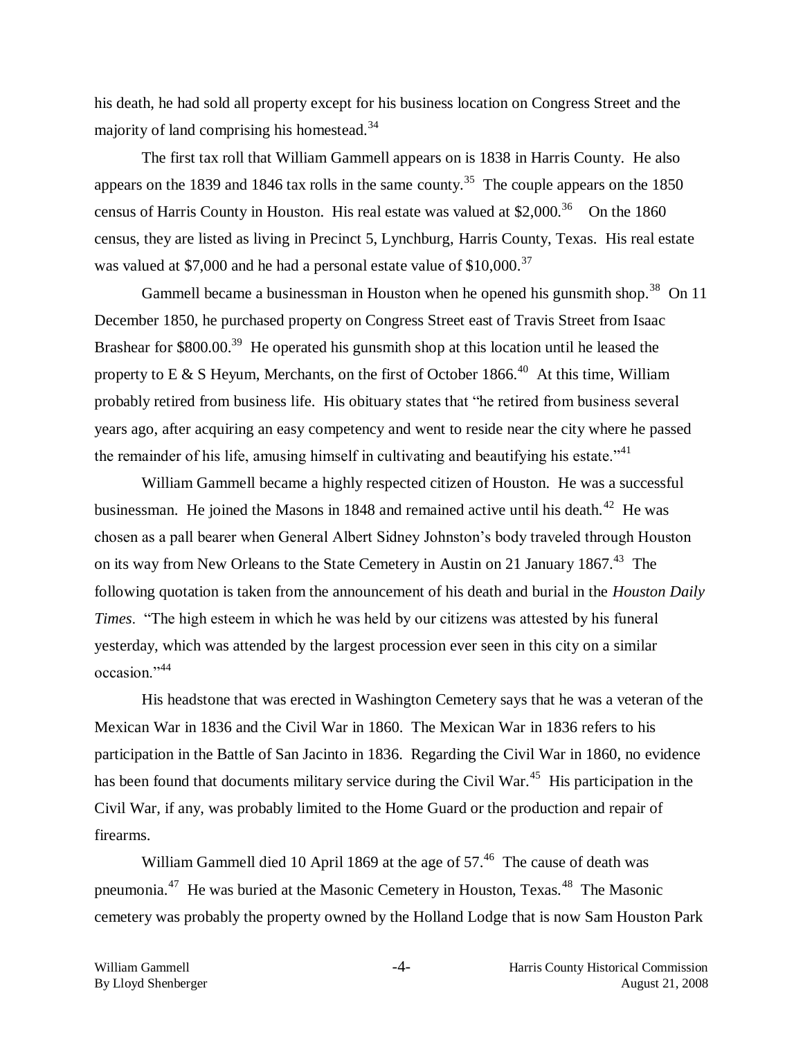his death, he had sold all property except for his business location on Congress Street and the majority of land comprising his homestead.<sup>34</sup>

The first tax roll that William Gammell appears on is 1838 in Harris County. He also appears on the 1839 and 1846 tax rolls in the same county.<sup>35</sup> The couple appears on the 1850 census of Harris County in Houston. His real estate was valued at \$2,000.<sup>36</sup> On the 1860 census, they are listed as living in Precinct 5, Lynchburg, Harris County, Texas. His real estate was valued at \$7,000 and he had a personal estate value of  $$10,000$ .<sup>37</sup>

Gammell became a businessman in Houston when he opened his gunsmith shop.<sup>38</sup> On 11 December 1850, he purchased property on Congress Street east of Travis Street from Isaac Brashear for \$800.00.<sup>39</sup> He operated his gunsmith shop at this location until he leased the property to E & S Heyum, Merchants, on the first of October 1866.<sup>40</sup> At this time, William probably retired from business life. His obituary states that "he retired from business several years ago, after acquiring an easy competency and went to reside near the city where he passed the remainder of his life, amusing himself in cultivating and beautifying his estate.<sup>"41</sup>

William Gammell became a highly respected citizen of Houston. He was a successful businessman. He joined the Masons in  $1848$  and remained active until his death.<sup>42</sup> He was chosen as a pall bearer when General Albert Sidney Johnston's body traveled through Houston on its way from New Orleans to the State Cemetery in Austin on 21 January 1867.<sup>43</sup> The following quotation is taken from the announcement of his death and burial in the *Houston Daily Times*. "The high esteem in which he was held by our citizens was attested by his funeral yesterday, which was attended by the largest procession ever seen in this city on a similar occasion."<sup>44</sup>

His headstone that was erected in Washington Cemetery says that he was a veteran of the Mexican War in 1836 and the Civil War in 1860. The Mexican War in 1836 refers to his participation in the Battle of San Jacinto in 1836. Regarding the Civil War in 1860, no evidence has been found that documents military service during the Civil War.<sup>45</sup> His participation in the Civil War, if any, was probably limited to the Home Guard or the production and repair of firearms.

William Gammell died 10 April 1869 at the age of  $57<sup>46</sup>$  The cause of death was pneumonia.<sup>47</sup> He was buried at the Masonic Cemetery in Houston, Texas.<sup>48</sup> The Masonic cemetery was probably the property owned by the Holland Lodge that is now Sam Houston Park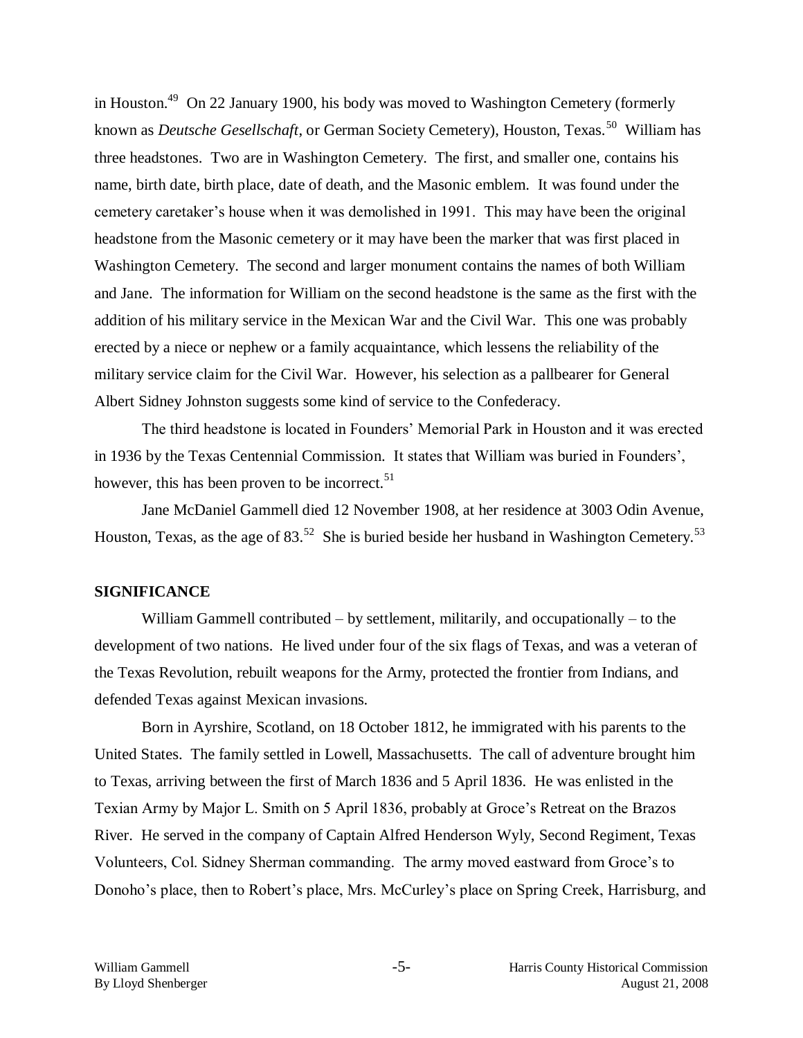in Houston.<sup>49</sup> On 22 January 1900, his body was moved to Washington Cemetery (formerly known as *Deutsche Gesellschaft*, or German Society Cemetery), Houston, Texas.<sup>50</sup> William has three headstones. Two are in Washington Cemetery. The first, and smaller one, contains his name, birth date, birth place, date of death, and the Masonic emblem. It was found under the cemetery caretaker's house when it was demolished in 1991. This may have been the original headstone from the Masonic cemetery or it may have been the marker that was first placed in Washington Cemetery. The second and larger monument contains the names of both William and Jane. The information for William on the second headstone is the same as the first with the addition of his military service in the Mexican War and the Civil War. This one was probably erected by a niece or nephew or a family acquaintance, which lessens the reliability of the military service claim for the Civil War. However, his selection as a pallbearer for General Albert Sidney Johnston suggests some kind of service to the Confederacy.

The third headstone is located in Founders' Memorial Park in Houston and it was erected in 1936 by the Texas Centennial Commission. It states that William was buried in Founders', however, this has been proven to be incorrect.  $5<sup>1</sup>$ 

Jane McDaniel Gammell died 12 November 1908, at her residence at 3003 Odin Avenue, Houston, Texas, as the age of 83.<sup>52</sup> She is buried beside her husband in Washington Cemetery.<sup>53</sup>

# **SIGNIFICANCE**

William Gammell contributed – by settlement, militarily, and occupationally – to the development of two nations. He lived under four of the six flags of Texas, and was a veteran of the Texas Revolution, rebuilt weapons for the Army, protected the frontier from Indians, and defended Texas against Mexican invasions.

Born in Ayrshire, Scotland, on 18 October 1812, he immigrated with his parents to the United States. The family settled in Lowell, Massachusetts. The call of adventure brought him to Texas, arriving between the first of March 1836 and 5 April 1836. He was enlisted in the Texian Army by Major L. Smith on 5 April 1836, probably at Groce's Retreat on the Brazos River. He served in the company of Captain Alfred Henderson Wyly, Second Regiment, Texas Volunteers, Col. Sidney Sherman commanding. The army moved eastward from Groce's to Donoho's place, then to Robert's place, Mrs. McCurley's place on Spring Creek, Harrisburg, and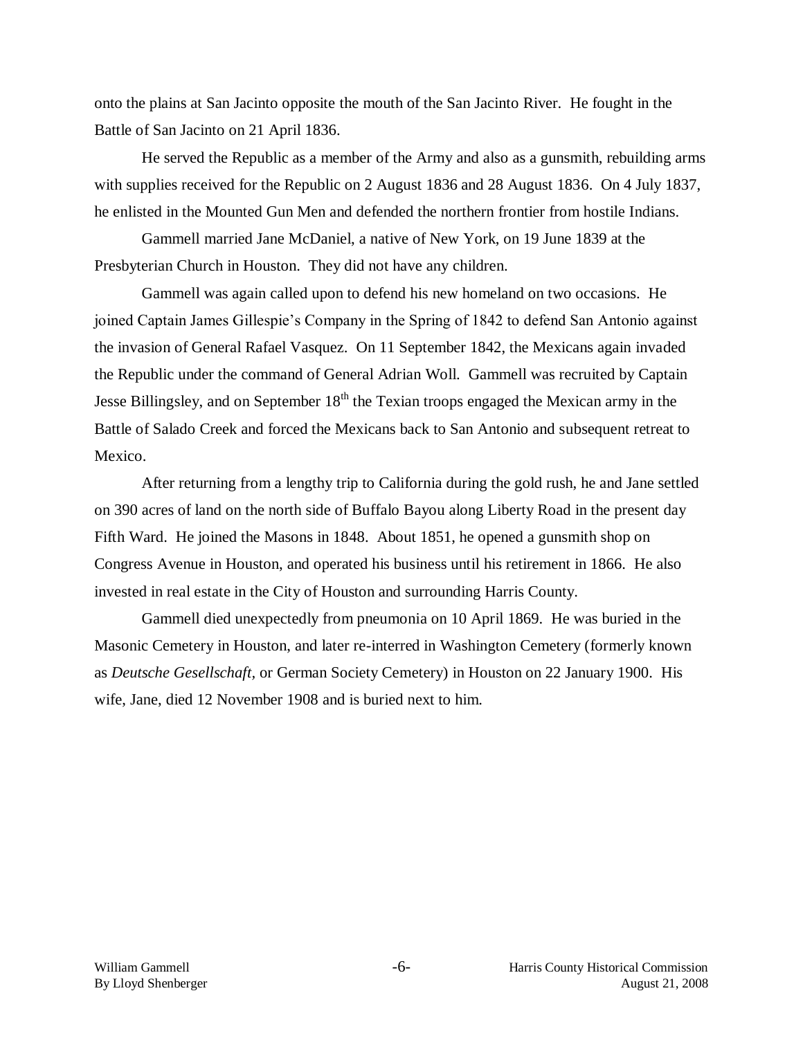onto the plains at San Jacinto opposite the mouth of the San Jacinto River. He fought in the Battle of San Jacinto on 21 April 1836.

He served the Republic as a member of the Army and also as a gunsmith, rebuilding arms with supplies received for the Republic on 2 August 1836 and 28 August 1836. On 4 July 1837, he enlisted in the Mounted Gun Men and defended the northern frontier from hostile Indians.

Gammell married Jane McDaniel, a native of New York, on 19 June 1839 at the Presbyterian Church in Houston. They did not have any children.

Gammell was again called upon to defend his new homeland on two occasions. He joined Captain James Gillespie's Company in the Spring of 1842 to defend San Antonio against the invasion of General Rafael Vasquez. On 11 September 1842, the Mexicans again invaded the Republic under the command of General Adrian Woll. Gammell was recruited by Captain Jesse Billingsley, and on September  $18<sup>th</sup>$  the Texian troops engaged the Mexican army in the Battle of Salado Creek and forced the Mexicans back to San Antonio and subsequent retreat to Mexico.

After returning from a lengthy trip to California during the gold rush, he and Jane settled on 390 acres of land on the north side of Buffalo Bayou along Liberty Road in the present day Fifth Ward. He joined the Masons in 1848. About 1851, he opened a gunsmith shop on Congress Avenue in Houston, and operated his business until his retirement in 1866. He also invested in real estate in the City of Houston and surrounding Harris County.

Gammell died unexpectedly from pneumonia on 10 April 1869. He was buried in the Masonic Cemetery in Houston, and later re-interred in Washington Cemetery (formerly known as *Deutsche Gesellschaft,* or German Society Cemetery) in Houston on 22 January 1900. His wife, Jane, died 12 November 1908 and is buried next to him.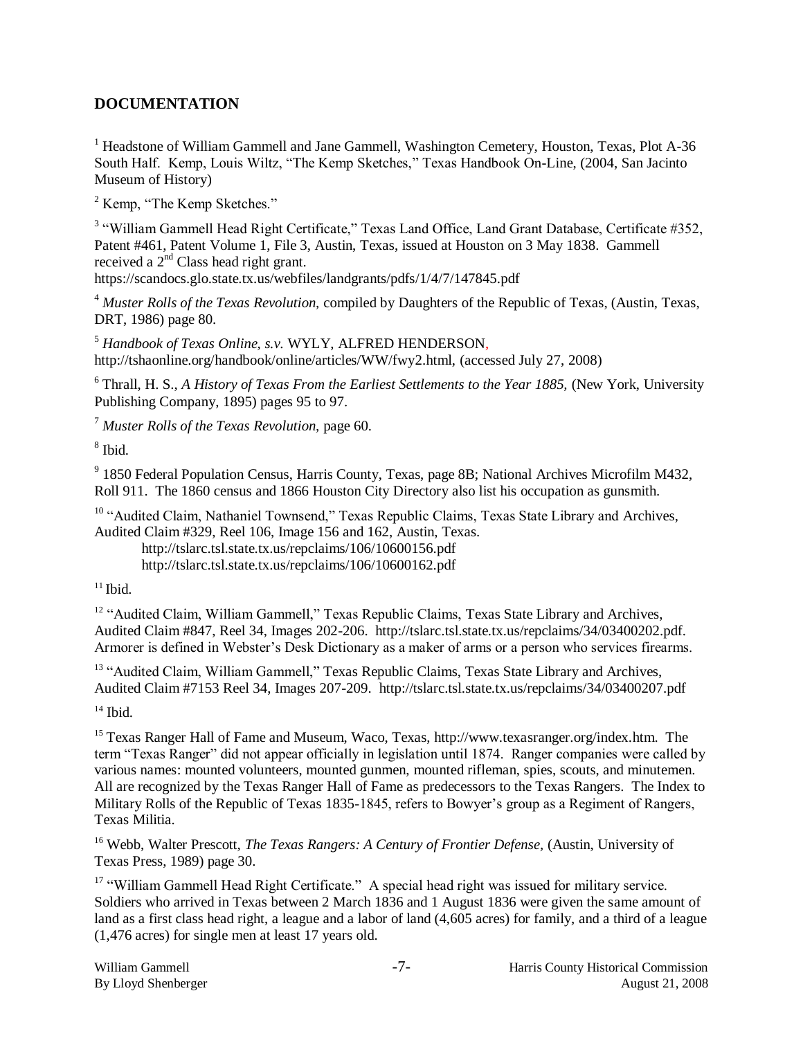# **DOCUMENTATION**

<sup>1</sup> Headstone of William Gammell and Jane Gammell, Washington Cemetery, Houston, Texas, Plot A-36 South Half. Kemp, Louis Wiltz, "The Kemp Sketches," Texas Handbook On-Line, (2004, San Jacinto Museum of History)

<sup>2</sup> Kemp, "The Kemp Sketches."

<sup>3</sup> "William Gammell Head Right Certificate," Texas Land Office, Land Grant Database, Certificate #352, Patent #461, Patent Volume 1, File 3, Austin, Texas, issued at Houston on 3 May 1838. Gammell received a 2<sup>nd</sup> Class head right grant.

https://scandocs.glo.state.tx.us/webfiles/landgrants/pdfs/1/4/7/147845.pdf

<sup>4</sup> *Muster Rolls of the Texas Revolution,* compiled by Daughters of the Republic of Texas, (Austin, Texas, DRT, 1986) page 80.

<sup>5</sup> *Handbook of Texas Online, s.v.* WYLY, ALFRED HENDERSON, http://tshaonline.org/handbook/online/articles/WW/fwy2.html, (accessed July 27, 2008)

<sup>6</sup> Thrall, H. S., *A History of Texas From the Earliest Settlements to the Year 1885,* (New York, University Publishing Company, 1895) pages 95 to 97.

<sup>7</sup> *Muster Rolls of the Texas Revolution,* page 60.

8 Ibid.

<sup>9</sup> 1850 Federal Population Census, Harris County, Texas, page 8B; National Archives Microfilm M432, Roll 911. The 1860 census and 1866 Houston City Directory also list his occupation as gunsmith.

<sup>10</sup> "Audited Claim, Nathaniel Townsend," Texas Republic Claims, Texas State Library and Archives, Audited Claim #329, Reel 106, Image 156 and 162, Austin, Texas.

http://tslarc.tsl.state.tx.us/repclaims/106/10600156.pdf http://tslarc.tsl.state.tx.us/repclaims/106/10600162.pdf

 $11$  Ibid.

<sup>12</sup> "Audited Claim, William Gammell," Texas Republic Claims, Texas State Library and Archives, Audited Claim #847, Reel 34, Images 202-206. http://tslarc.tsl.state.tx.us/repclaims/34/03400202.pdf. Armorer is defined in Webster's Desk Dictionary as a maker of arms or a person who services firearms.

<sup>13</sup> "Audited Claim, William Gammell," Texas Republic Claims, Texas State Library and Archives, Audited Claim #7153 Reel 34, Images 207-209. http://tslarc.tsl.state.tx.us/repclaims/34/03400207.pdf

 $14$  Ibid.

<sup>15</sup> Texas Ranger Hall of Fame and Museum, Waco, Texas, http://www.texasranger.org/index.htm. The term "Texas Ranger" did not appear officially in legislation until 1874. Ranger companies were called by various names: mounted volunteers, mounted gunmen, mounted rifleman, spies, scouts, and minutemen. All are recognized by the Texas Ranger Hall of Fame as predecessors to the Texas Rangers. The Index to Military Rolls of the Republic of Texas 1835-1845, refers to Bowyer's group as a Regiment of Rangers. Texas Militia.

<sup>16</sup> Webb, Walter Prescott, *The Texas Rangers: A Century of Frontier Defense*, (Austin, University of Texas Press, 1989) page 30.

<sup>17</sup> "William Gammell Head Right Certificate." A special head right was issued for military service. Soldiers who arrived in Texas between 2 March 1836 and 1 August 1836 were given the same amount of land as a first class head right, a league and a labor of land (4,605 acres) for family, and a third of a league (1,476 acres) for single men at least 17 years old.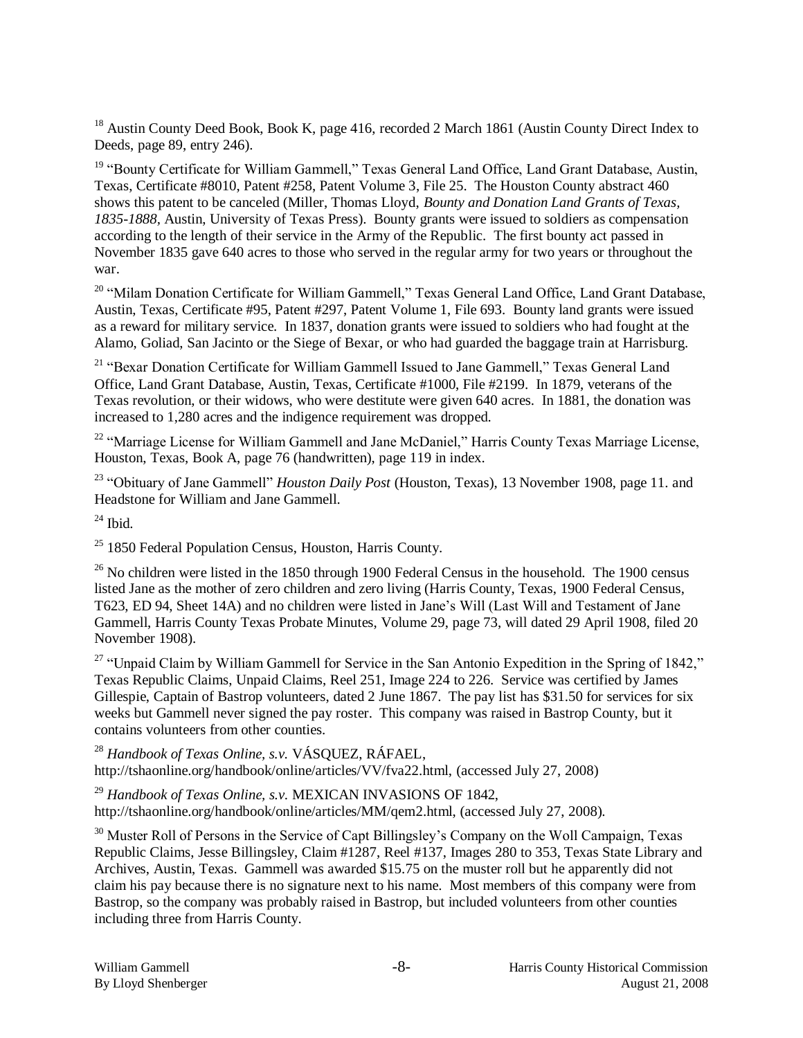<sup>18</sup> Austin County Deed Book, Book K, page 416, recorded 2 March 1861 (Austin County Direct Index to Deeds, page 89, entry 246).

<sup>19</sup> "Bounty Certificate for William Gammell," Texas General Land Office, Land Grant Database, Austin, Texas, Certificate #8010, Patent #258, Patent Volume 3, File 25. The Houston County abstract 460 shows this patent to be canceled (Miller, Thomas Lloyd, *Bounty and Donation Land Grants of Texas, 1835-1888,* Austin, University of Texas Press). Bounty grants were issued to soldiers as compensation according to the length of their service in the Army of the Republic. The first bounty act passed in November 1835 gave 640 acres to those who served in the regular army for two years or throughout the war.

<sup>20</sup> "Milam Donation Certificate for William Gammell," Texas General Land Office, Land Grant Database, Austin, Texas, Certificate #95, Patent #297, Patent Volume 1, File 693. Bounty land grants were issued as a reward for military service. In 1837, donation grants were issued to soldiers who had fought at the Alamo, Goliad, San Jacinto or the Siege of Bexar, or who had guarded the baggage train at Harrisburg.

<sup>21</sup> "Bexar Donation Certificate for William Gammell Issued to Jane Gammell," Texas General Land Office, Land Grant Database, Austin, Texas, Certificate #1000, File #2199. In 1879, veterans of the Texas revolution, or their widows, who were destitute were given 640 acres. In 1881, the donation was increased to 1,280 acres and the indigence requirement was dropped.

<sup>22</sup> "Marriage License for William Gammell and Jane McDaniel," Harris County Texas Marriage License, Houston, Texas, Book A, page 76 (handwritten), page 119 in index.

<sup>23</sup> "Obituary of Jane Gammell" *Houston Daily Post* (Houston, Texas), 13 November 1908, page 11. and Headstone for William and Jane Gammell.

 $^{24}$  Ibid.

 $25$  1850 Federal Population Census, Houston, Harris County.

 $^{26}$  No children were listed in the 1850 through 1900 Federal Census in the household. The 1900 census listed Jane as the mother of zero children and zero living (Harris County, Texas, 1900 Federal Census, T623, ED 94, Sheet 14A) and no children were listed in Jane's Will (Last Will and Testament of Jane Gammell, Harris County Texas Probate Minutes, Volume 29, page 73, will dated 29 April 1908, filed 20 November 1908).

<sup>27</sup> "Unpaid Claim by William Gammell for Service in the San Antonio Expedition in the Spring of 1842," Texas Republic Claims, Unpaid Claims, Reel 251, Image 224 to 226. Service was certified by James Gillespie, Captain of Bastrop volunteers, dated 2 June 1867. The pay list has \$31.50 for services for six weeks but Gammell never signed the pay roster. This company was raised in Bastrop County, but it contains volunteers from other counties.

<sup>28</sup> *Handbook of Texas Online, s.v.* VÁSQUEZ, RÁFAEL, http://tshaonline.org/handbook/online/articles/VV/fva22.html, (accessed July 27, 2008)

<sup>29</sup> *Handbook of Texas Online, s.v.* MEXICAN INVASIONS OF 1842, http://tshaonline.org/handbook/online/articles/MM/qem2.html, (accessed July 27, 2008).

<sup>30</sup> Muster Roll of Persons in the Service of Capt Billingsley's Company on the Woll Campaign, Texas Republic Claims, Jesse Billingsley, Claim #1287, Reel #137, Images 280 to 353, Texas State Library and Archives, Austin, Texas. Gammell was awarded \$15.75 on the muster roll but he apparently did not claim his pay because there is no signature next to his name. Most members of this company were from Bastrop, so the company was probably raised in Bastrop, but included volunteers from other counties including three from Harris County.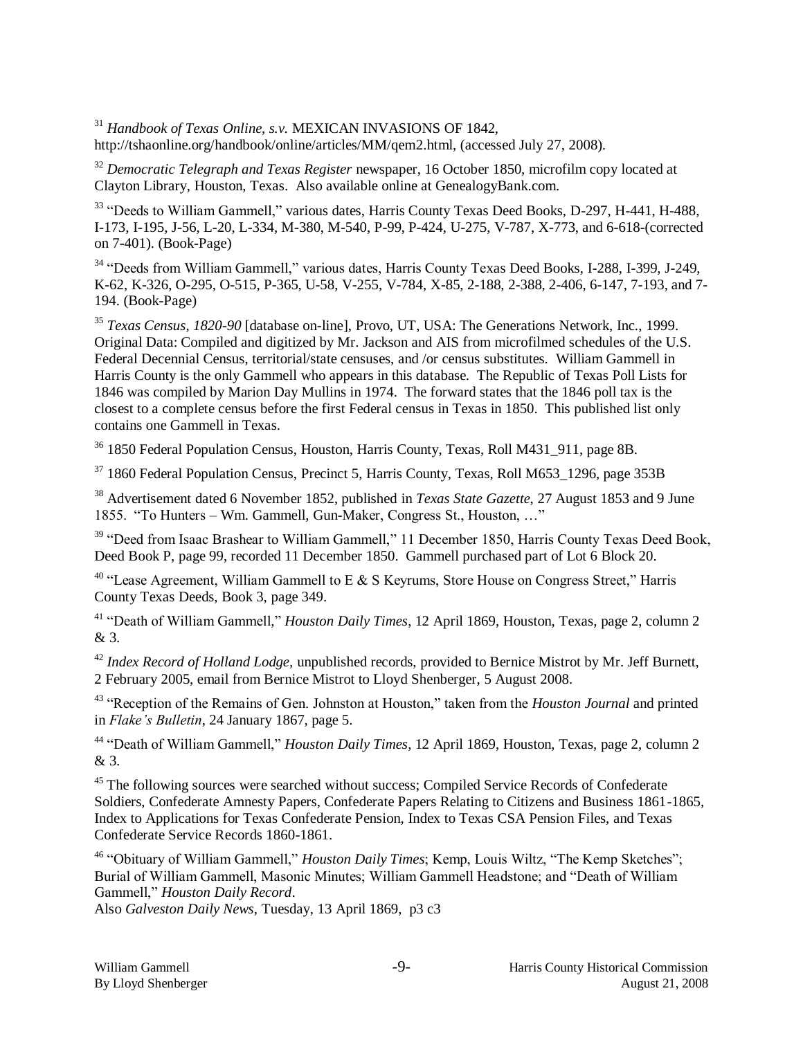<sup>31</sup> *Handbook of Texas Online, s.v.* MEXICAN INVASIONS OF 1842, http://tshaonline.org/handbook/online/articles/MM/qem2.html, (accessed July 27, 2008).

<sup>32</sup> Democratic Telegraph and Texas Register newspaper, 16 October 1850, microfilm copy located at Clayton Library, Houston, Texas. Also available online at GenealogyBank.com.

<sup>33</sup> "Deeds to William Gammell," various dates, Harris County Texas Deed Books, D-297, H-441, H-488, I-173, I-195, J-56, L-20, L-334, M-380, M-540, P-99, P-424, U-275, V-787, X-773, and 6-618-(corrected on 7-401). (Book-Page)

<sup>34</sup> "Deeds from William Gammell," various dates, Harris County Texas Deed Books, I-288, I-399, J-249, K-62, K-326, O-295, O-515, P-365, U-58, V-255, V-784, X-85, 2-188, 2-388, 2-406, 6-147, 7-193, and 7- 194. (Book-Page)

<sup>35</sup> *Texas Census, 1820-90* [database on-line], Provo, UT, USA: The Generations Network, Inc., 1999. Original Data: Compiled and digitized by Mr. Jackson and AIS from microfilmed schedules of the U.S. Federal Decennial Census, territorial/state censuses, and /or census substitutes. William Gammell in Harris County is the only Gammell who appears in this database. The Republic of Texas Poll Lists for 1846 was compiled by Marion Day Mullins in 1974. The forward states that the 1846 poll tax is the closest to a complete census before the first Federal census in Texas in 1850. This published list only contains one Gammell in Texas.

<sup>36</sup> 1850 Federal Population Census, Houston, Harris County, Texas, Roll M431 911, page 8B.

 $37$  1860 Federal Population Census, Precinct 5, Harris County, Texas, Roll M653 1296, page 353B

<sup>38</sup> Advertisement dated 6 November 1852, published in *Texas State Gazette*, 27 August 1853 and 9 June 1855. "To Hunters – Wm. Gammell, Gun-Maker, Congress St., Houston, …"

<sup>39</sup> "Deed from Isaac Brashear to William Gammell," 11 December 1850, Harris County Texas Deed Book, Deed Book P, page 99, recorded 11 December 1850. Gammell purchased part of Lot 6 Block 20.

<sup>40</sup> "Lease Agreement, William Gammell to E & S Keyrums, Store House on Congress Street," Harris County Texas Deeds, Book 3, page 349.

<sup>41</sup> "Death of William Gammell*,*" *Houston Daily Times*, 12 April 1869, Houston, Texas, page 2, column 2 & 3.

<sup>42</sup> *Index Record of Holland Lodge,* unpublished records, provided to Bernice Mistrot by Mr. Jeff Burnett, 2 February 2005, email from Bernice Mistrot to Lloyd Shenberger, 5 August 2008.

<sup>43</sup> "Reception of the Remains of Gen. Johnston at Houston," taken from the *Houston Journal* and printed in *Flake's Bulletin*, 24 January 1867, page 5.

<sup>44</sup> "Death of William Gammell," *Houston Daily Times*, 12 April 1869, Houston, Texas, page 2, column 2 & 3.

<sup>45</sup> The following sources were searched without success; Compiled Service Records of Confederate Soldiers, Confederate Amnesty Papers, Confederate Papers Relating to Citizens and Business 1861-1865, Index to Applications for Texas Confederate Pension, Index to Texas CSA Pension Files, and Texas Confederate Service Records 1860-1861.

<sup>46</sup> "Obituary of William Gammell," *Houston Daily Times*; Kemp, Louis Wiltz, "The Kemp Sketches"; Burial of William Gammell, Masonic Minutes; William Gammell Headstone; and "Death of William Gammell," *Houston Daily Record*.

Also *Galveston Daily News*, Tuesday, 13 April 1869, p3 c3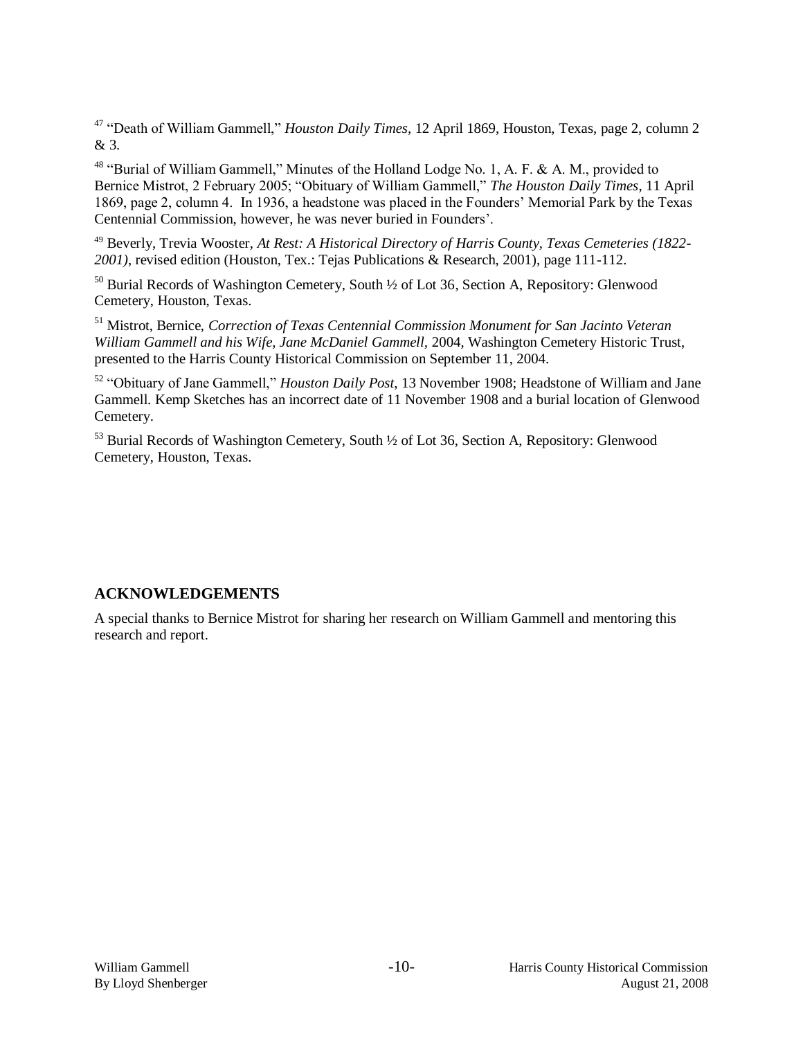<sup>47</sup> "Death of William Gammell," *Houston Daily Times,* 12 April 1869, Houston, Texas, page 2, column 2 & 3.

<sup>48</sup> "Burial of William Gammell," Minutes of the Holland Lodge No. 1, A. F. & A. M., provided to Bernice Mistrot, 2 February 2005; "Obituary of William Gammell," *The Houston Daily Times*, 11 April 1869, page 2, column 4. In 1936, a headstone was placed in the Founders' Memorial Park by the Texas Centennial Commission, however, he was never buried in Founders'.

<sup>49</sup> Beverly, Trevia Wooster, *At Rest: A Historical Directory of Harris County, Texas Cemeteries (1822- 2001)*, revised edition (Houston, Tex.: Tejas Publications & Research, 2001), page 111-112.

<sup>50</sup> Burial Records of Washington Cemetery, South <sup>1</sup>/<sub>2</sub> of Lot 36, Section A, Repository: Glenwood Cemetery, Houston, Texas.

<sup>51</sup> Mistrot, Bernice, *Correction of Texas Centennial Commission Monument for San Jacinto Veteran William Gammell and his Wife, Jane McDaniel Gammell,* 2004, Washington Cemetery Historic Trust, presented to the Harris County Historical Commission on September 11, 2004.

<sup>52</sup> "Obituary of Jane Gammell," *Houston Daily Post*, 13 November 1908; Headstone of William and Jane Gammell. Kemp Sketches has an incorrect date of 11 November 1908 and a burial location of Glenwood Cemetery.

<sup>53</sup> Burial Records of Washington Cemetery, South <sup>1</sup>/<sub>2</sub> of Lot 36, Section A, Repository: Glenwood Cemetery, Houston, Texas.

## **ACKNOWLEDGEMENTS**

A special thanks to Bernice Mistrot for sharing her research on William Gammell and mentoring this research and report.